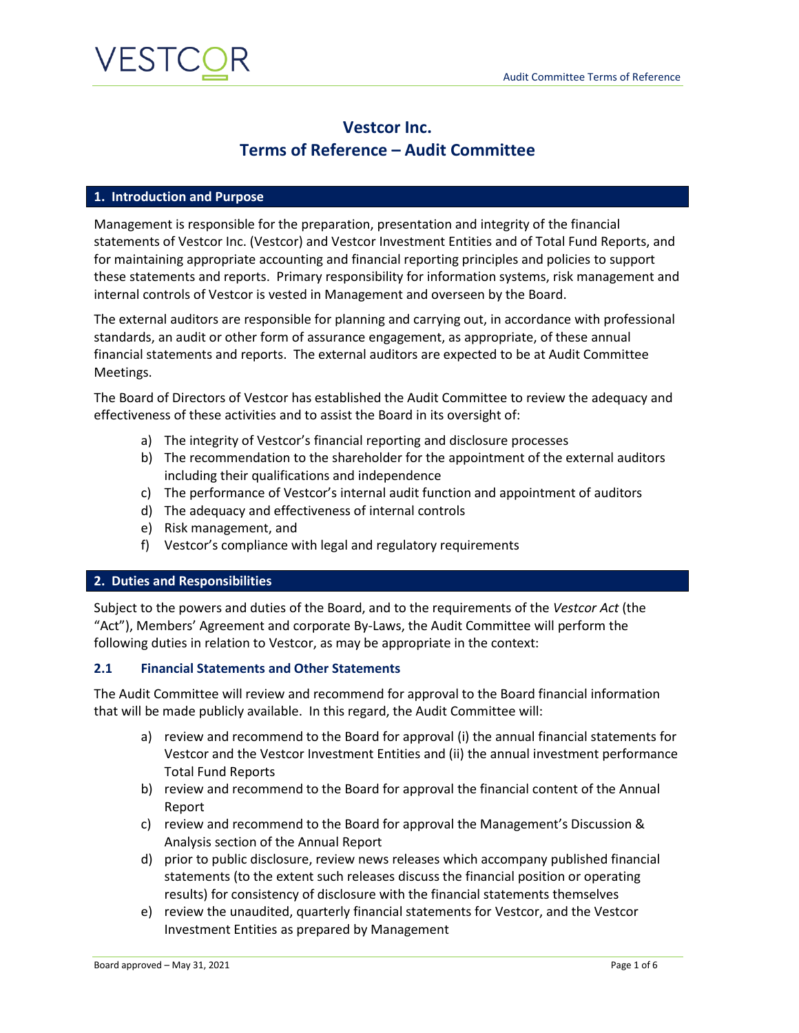

### **Vestcor Inc. Terms of Reference – Audit Committee**

### **1. Introduction and Purpose**

Management is responsible for the preparation, presentation and integrity of the financial statements of Vestcor Inc. (Vestcor) and Vestcor Investment Entities and of Total Fund Reports, and for maintaining appropriate accounting and financial reporting principles and policies to support these statements and reports. Primary responsibility for information systems, risk management and internal controls of Vestcor is vested in Management and overseen by the Board.

The external auditors are responsible for planning and carrying out, in accordance with professional standards, an audit or other form of assurance engagement, as appropriate, of these annual financial statements and reports. The external auditors are expected to be at Audit Committee Meetings.

The Board of Directors of Vestcor has established the Audit Committee to review the adequacy and effectiveness of these activities and to assist the Board in its oversight of:

- a) The integrity of Vestcor's financial reporting and disclosure processes
- b) The recommendation to the shareholder for the appointment of the external auditors including their qualifications and independence
- c) The performance of Vestcor's internal audit function and appointment of auditors
- d) The adequacy and effectiveness of internal controls
- e) Risk management, and
- f) Vestcor's compliance with legal and regulatory requirements

#### **2. Duties and Responsibilities**

Subject to the powers and duties of the Board, and to the requirements of the *Vestcor Act* (the "Act"), Members' Agreement and corporate By-Laws, the Audit Committee will perform the following duties in relation to Vestcor, as may be appropriate in the context:

#### **2.1 Financial Statements and Other Statements**

The Audit Committee will review and recommend for approval to the Board financial information that will be made publicly available. In this regard, the Audit Committee will:

- a) review and recommend to the Board for approval (i) the annual financial statements for Vestcor and the Vestcor Investment Entities and (ii) the annual investment performance Total Fund Reports
- b) review and recommend to the Board for approval the financial content of the Annual Report
- c) review and recommend to the Board for approval the Management's Discussion & Analysis section of the Annual Report
- d) prior to public disclosure, review news releases which accompany published financial statements (to the extent such releases discuss the financial position or operating results) for consistency of disclosure with the financial statements themselves
- e) review the unaudited, quarterly financial statements for Vestcor, and the Vestcor Investment Entities as prepared by Management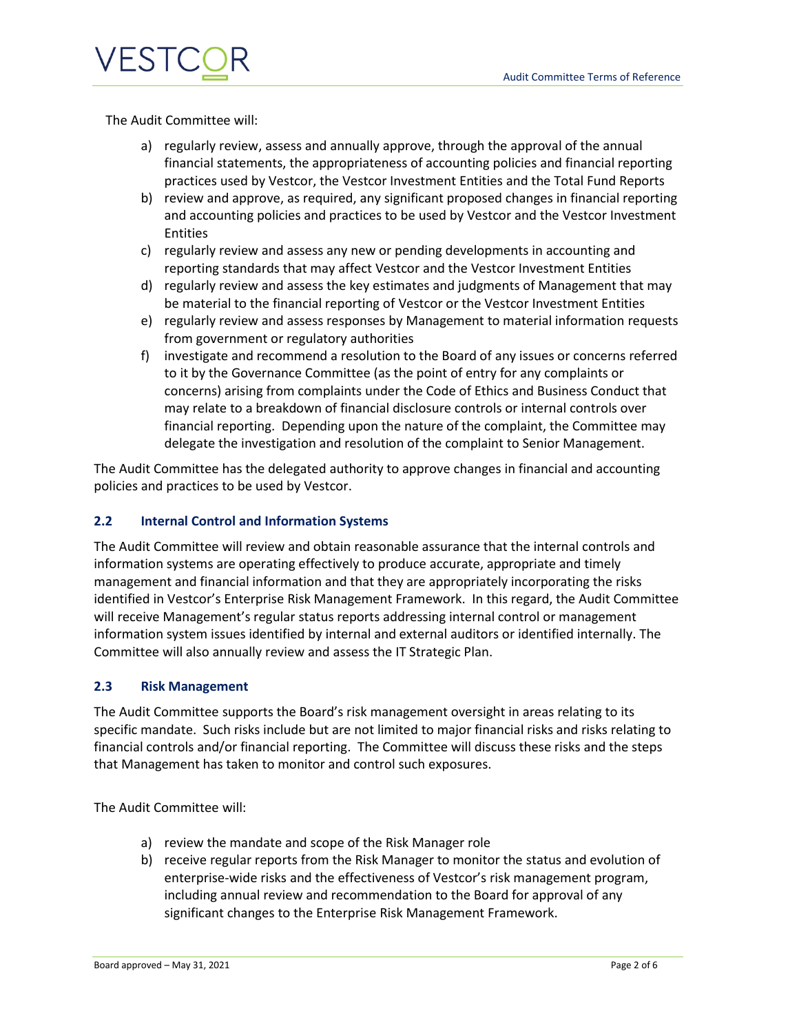

The Audit Committee will:

- a) regularly review, assess and annually approve, through the approval of the annual financial statements, the appropriateness of accounting policies and financial reporting practices used by Vestcor, the Vestcor Investment Entities and the Total Fund Reports
- b) review and approve, as required, any significant proposed changes in financial reporting and accounting policies and practices to be used by Vestcor and the Vestcor Investment Entities
- c) regularly review and assess any new or pending developments in accounting and reporting standards that may affect Vestcor and the Vestcor Investment Entities
- d) regularly review and assess the key estimates and judgments of Management that may be material to the financial reporting of Vestcor or the Vestcor Investment Entities
- e) regularly review and assess responses by Management to material information requests from government or regulatory authorities
- f) investigate and recommend a resolution to the Board of any issues or concerns referred to it by the Governance Committee (as the point of entry for any complaints or concerns) arising from complaints under the Code of Ethics and Business Conduct that may relate to a breakdown of financial disclosure controls or internal controls over financial reporting. Depending upon the nature of the complaint, the Committee may delegate the investigation and resolution of the complaint to Senior Management.

The Audit Committee has the delegated authority to approve changes in financial and accounting policies and practices to be used by Vestcor.

### **2.2 Internal Control and Information Systems**

The Audit Committee will review and obtain reasonable assurance that the internal controls and information systems are operating effectively to produce accurate, appropriate and timely management and financial information and that they are appropriately incorporating the risks identified in Vestcor's Enterprise Risk Management Framework. In this regard, the Audit Committee will receive Management's regular status reports addressing internal control or management information system issues identified by internal and external auditors or identified internally. The Committee will also annually review and assess the IT Strategic Plan.

### **2.3 Risk Management**

The Audit Committee supports the Board's risk management oversight in areas relating to its specific mandate. Such risks include but are not limited to major financial risks and risks relating to financial controls and/or financial reporting. The Committee will discuss these risks and the steps that Management has taken to monitor and control such exposures.

The Audit Committee will:

- a) review the mandate and scope of the Risk Manager role
- b) receive regular reports from the Risk Manager to monitor the status and evolution of enterprise-wide risks and the effectiveness of Vestcor's risk management program, including annual review and recommendation to the Board for approval of any significant changes to the Enterprise Risk Management Framework.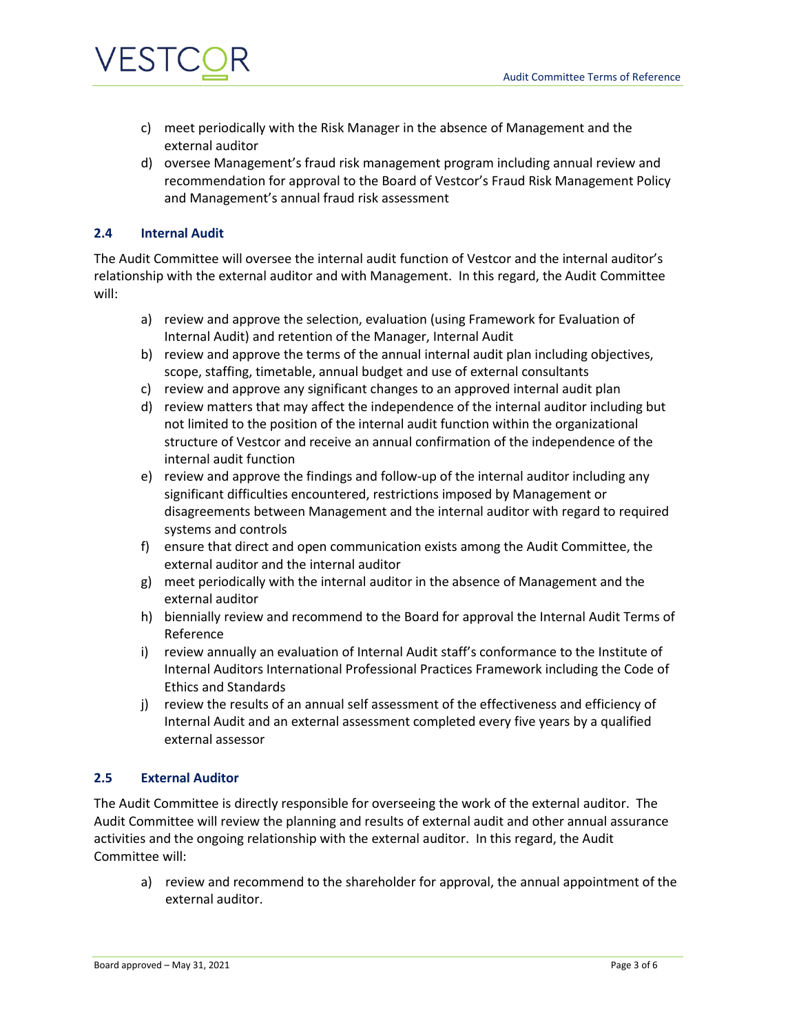

- c) meet periodically with the Risk Manager in the absence of Management and the external auditor
- d) oversee Management's fraud risk management program including annual review and recommendation for approval to the Board of Vestcor's Fraud Risk Management Policy and Management's annual fraud risk assessment

### **2.4 Internal Audit**

The Audit Committee will oversee the internal audit function of Vestcor and the internal auditor's relationship with the external auditor and with Management. In this regard, the Audit Committee will:

- a) review and approve the selection, evaluation (using Framework for Evaluation of Internal Audit) and retention of the Manager, Internal Audit
- b) review and approve the terms of the annual internal audit plan including objectives, scope, staffing, timetable, annual budget and use of external consultants
- c) review and approve any significant changes to an approved internal audit plan
- d) review matters that may affect the independence of the internal auditor including but not limited to the position of the internal audit function within the organizational structure of Vestcor and receive an annual confirmation of the independence of the internal audit function
- e) review and approve the findings and follow-up of the internal auditor including any significant difficulties encountered, restrictions imposed by Management or disagreements between Management and the internal auditor with regard to required systems and controls
- f) ensure that direct and open communication exists among the Audit Committee, the external auditor and the internal auditor
- g) meet periodically with the internal auditor in the absence of Management and the external auditor
- h) biennially review and recommend to the Board for approval the Internal Audit Terms of Reference
- i) review annually an evaluation of Internal Audit staff's conformance to the Institute of Internal Auditors International Professional Practices Framework including the Code of Ethics and Standards
- j) review the results of an annual self assessment of the effectiveness and efficiency of Internal Audit and an external assessment completed every five years by a qualified external assessor

### **2.5 External Auditor**

The Audit Committee is directly responsible for overseeing the work of the external auditor. The Audit Committee will review the planning and results of external audit and other annual assurance activities and the ongoing relationship with the external auditor. In this regard, the Audit Committee will:

a) review and recommend to the shareholder for approval, the annual appointment of the external auditor.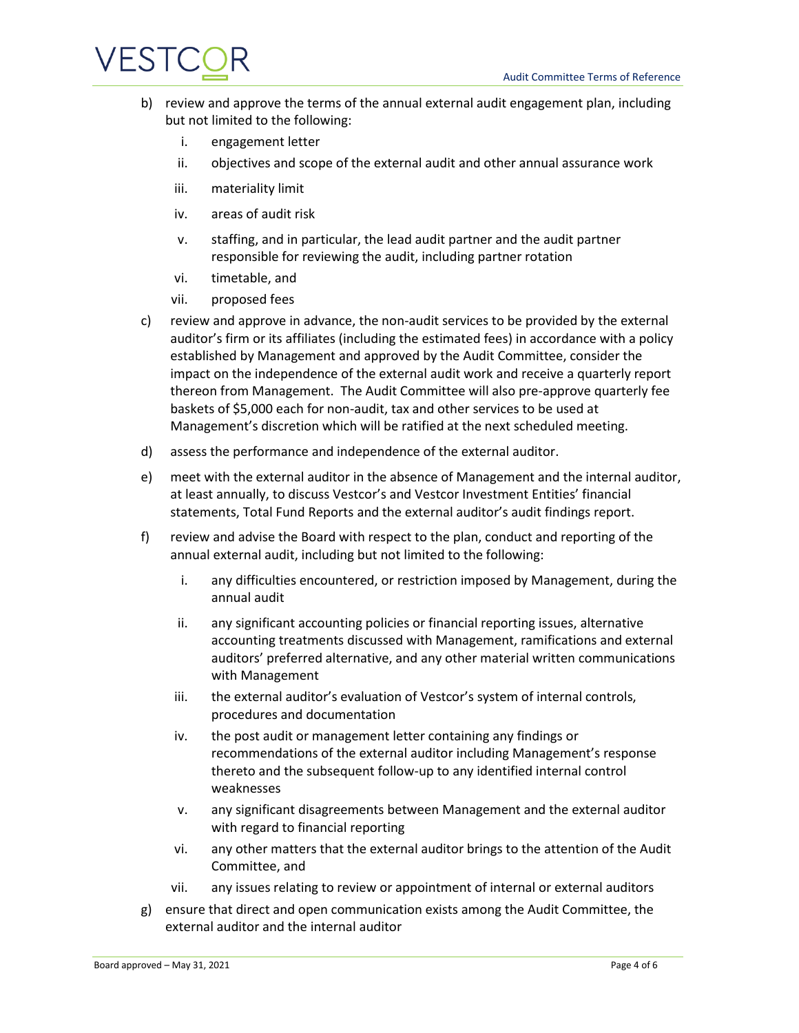### VESTCC

- b) review and approve the terms of the annual external audit engagement plan, including but not limited to the following:
	- i. engagement letter
	- ii. objectives and scope of the external audit and other annual assurance work
	- iii. materiality limit
	- iv. areas of audit risk
	- v. staffing, and in particular, the lead audit partner and the audit partner responsible for reviewing the audit, including partner rotation
	- vi. timetable, and
	- vii. proposed fees
- c) review and approve in advance, the non-audit services to be provided by the external auditor's firm or its affiliates (including the estimated fees) in accordance with a policy established by Management and approved by the Audit Committee, consider the impact on the independence of the external audit work and receive a quarterly report thereon from Management. The Audit Committee will also pre-approve quarterly fee baskets of \$5,000 each for non-audit, tax and other services to be used at Management's discretion which will be ratified at the next scheduled meeting.
- d) assess the performance and independence of the external auditor.
- e) meet with the external auditor in the absence of Management and the internal auditor, at least annually, to discuss Vestcor's and Vestcor Investment Entities' financial statements, Total Fund Reports and the external auditor's audit findings report.
- f) review and advise the Board with respect to the plan, conduct and reporting of the annual external audit, including but not limited to the following:
	- i. any difficulties encountered, or restriction imposed by Management, during the annual audit
	- ii. any significant accounting policies or financial reporting issues, alternative accounting treatments discussed with Management, ramifications and external auditors' preferred alternative, and any other material written communications with Management
	- iii. the external auditor's evaluation of Vestcor's system of internal controls, procedures and documentation
	- iv. the post audit or management letter containing any findings or recommendations of the external auditor including Management's response thereto and the subsequent follow-up to any identified internal control weaknesses
	- v. any significant disagreements between Management and the external auditor with regard to financial reporting
	- vi. any other matters that the external auditor brings to the attention of the Audit Committee, and
	- vii. any issues relating to review or appointment of internal or external auditors
- g) ensure that direct and open communication exists among the Audit Committee, the external auditor and the internal auditor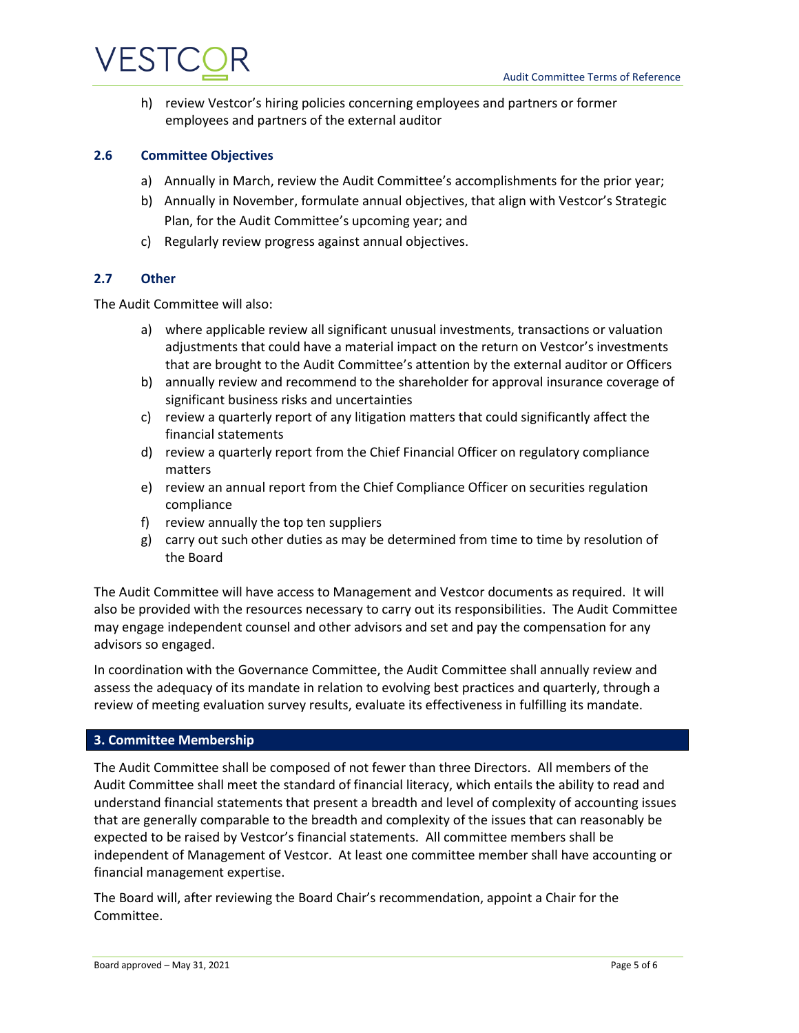# VESTC

h) review Vestcor's hiring policies concerning employees and partners or former employees and partners of the external auditor

### **2.6 Committee Objectives**

- a) Annually in March, review the Audit Committee's accomplishments for the prior year;
- b) Annually in November, formulate annual objectives, that align with Vestcor's Strategic Plan, for the Audit Committee's upcoming year; and
- c) Regularly review progress against annual objectives.

### **2.7 Other**

The Audit Committee will also:

- a) where applicable review all significant unusual investments, transactions or valuation adjustments that could have a material impact on the return on Vestcor's investments that are brought to the Audit Committee's attention by the external auditor or Officers
- b) annually review and recommend to the shareholder for approval insurance coverage of significant business risks and uncertainties
- c) review a quarterly report of any litigation matters that could significantly affect the financial statements
- d) review a quarterly report from the Chief Financial Officer on regulatory compliance matters
- e) review an annual report from the Chief Compliance Officer on securities regulation compliance
- f) review annually the top ten suppliers
- g) carry out such other duties as may be determined from time to time by resolution of the Board

The Audit Committee will have access to Management and Vestcor documents as required. It will also be provided with the resources necessary to carry out its responsibilities. The Audit Committee may engage independent counsel and other advisors and set and pay the compensation for any advisors so engaged.

In coordination with the Governance Committee, the Audit Committee shall annually review and assess the adequacy of its mandate in relation to evolving best practices and quarterly, through a review of meeting evaluation survey results, evaluate its effectiveness in fulfilling its mandate.

### **3. Committee Membership**

The Audit Committee shall be composed of not fewer than three Directors. All members of the Audit Committee shall meet the standard of financial literacy, which entails the ability to read and understand financial statements that present a breadth and level of complexity of accounting issues that are generally comparable to the breadth and complexity of the issues that can reasonably be expected to be raised by Vestcor's financial statements. All committee members shall be independent of Management of Vestcor. At least one committee member shall have accounting or financial management expertise.

The Board will, after reviewing the Board Chair's recommendation, appoint a Chair for the Committee.